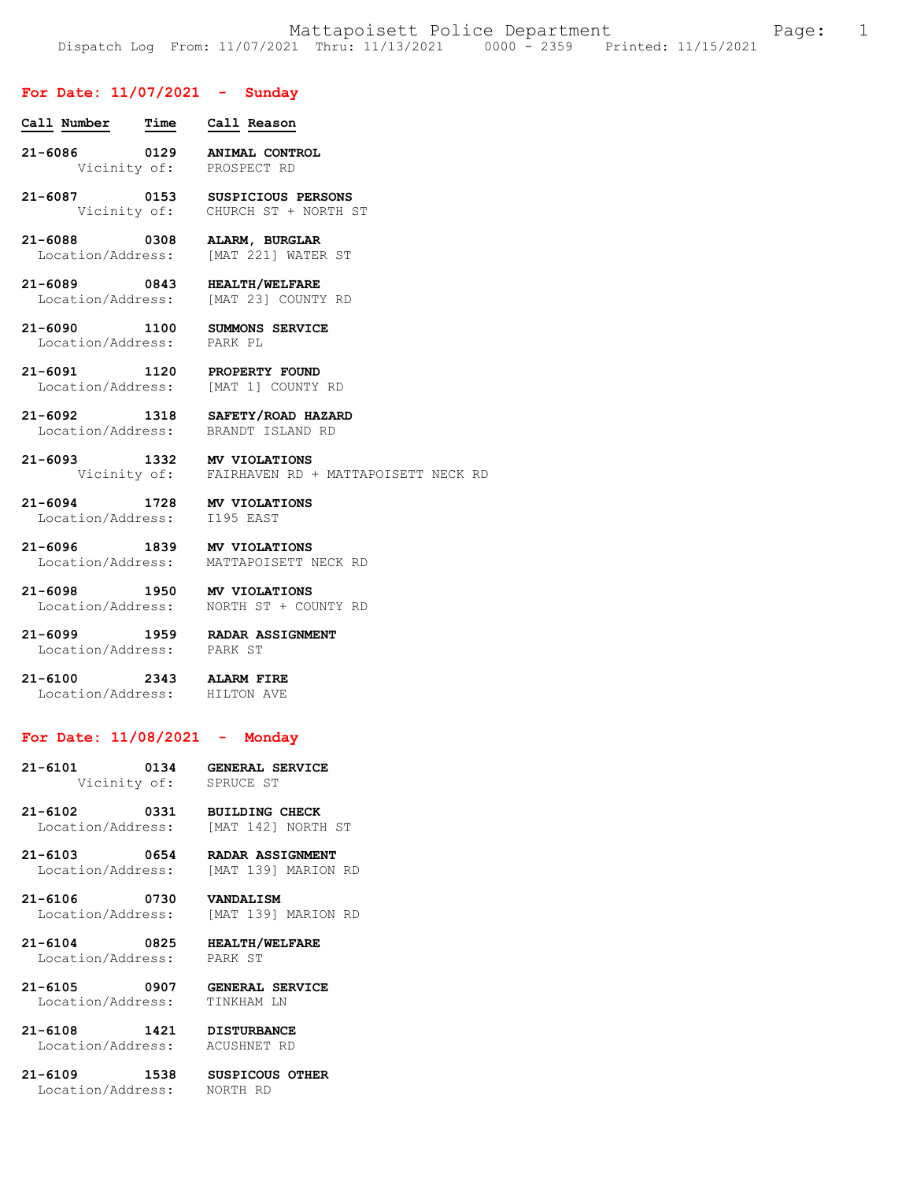NECK RD

## **For Date: 11/07/2021 - Sunday**

| Call Number Time Call Reason                              |                                                                       |
|-----------------------------------------------------------|-----------------------------------------------------------------------|
|                                                           | 21-6086 0129 ANIMAL CONTROL<br>Vicinity of: PROSPECT RD               |
|                                                           | 21-6087 0153 SUSPICIOUS PERSONS<br>Vicinity of: CHURCH ST + NORTH ST  |
|                                                           | 21-6088 0308 ALARM, BURGLAR<br>Location/Address: [MAT 221] WATER ST   |
|                                                           | 21-6089 0843 HEALTH/WELFARE<br>Location/Address: [MAT 23] COUNTY RD   |
| Location/Address: PARK PL                                 | 21-6090 1100 SUMMONS SERVICE                                          |
|                                                           | 21-6091 1120 PROPERTY FOUND<br>Location/Address: [MAT 1] COUNTY RD    |
|                                                           | 21-6092 1318 SAFETY/ROAD HAZARD<br>Location/Address: BRANDT ISLAND RD |
| 21-6093 1332 MV VIOLATIONS                                | Vicinity of: FAIRHAVEN RD + MATTAPOISETT                              |
| 21-6094 1728 MV VIOLATIONS<br>Location/Address: I195 EAST |                                                                       |
| 21-6096 1839 MV VIOLATIONS                                | Location/Address: MATTAPOISETT NECK RD                                |
|                                                           | 21-6098 1950 MV VIOLATIONS<br>Location/Address: NORTH ST + COUNTY RD  |

**21-6099 1959 RADAR ASSIGNMENT**  Location/Address:

**21-6100 2343 ALARM FIRE**  Location/Address: HILTON AVE

# **For Date: 11/08/2021 - Monday**

| $21 - 6101$ | 0134         | <b>GENERAL SERVICE</b> |
|-------------|--------------|------------------------|
|             | Vicinity of: | SPRUCE ST              |

**21-6102 0331 BUILDING CHECK**  Location/Address: [MAT 142] NORTH ST

**21-6103 0654 RADAR ASSIGNMENT**  [MAT 139] MARION RD

## **21-6106 0730 VANDALISM**  Location/Address: [MAT 139] MARION RD

**21-6104 0825 HEALTH/WELFARE**  Location/Address:

**21-6105 0907 GENERAL SERVICE**  Location/Address: TINKHAM LN

**21-6108 1421 DISTURBANCE**  Location/Address: ACUSHNET RD

**21-6109 1538 SUSPICOUS OTHER**  Location/Address: NORTH RD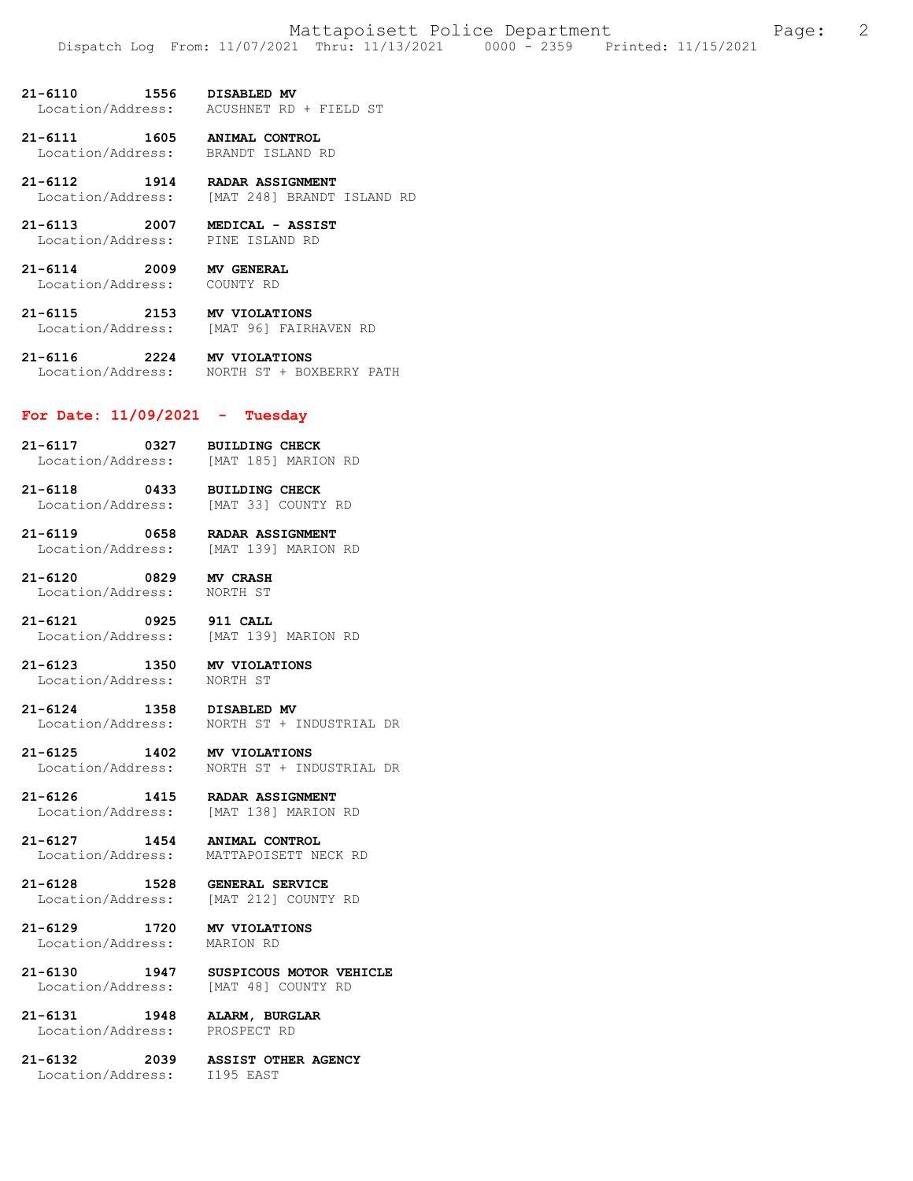21-6110 1556 DISABLED MV<br>Location/Address: ACUSHNET RD ACUSHNET RD + FIELD ST

**21-6111 1605 ANIMAL CONTROL**  Location/Address: BRANDT ISLAND RD

- **21-6112 1914 RADAR ASSIGNMENT**  Location/Address: [MAT 248] BRANDT ISLAND RD
- **21-6113 2007 MEDICAL ASSIST**  Location/Address:

**21-6114 2009 MV GENERAL**  Location/Address: COUNTY RD

**21-6115 2153 MV VIOLATIONS**  [MAT 96] FAIRHAVEN RD

**21-6116 2224 MV VIOLATIONS**  Location/Address: NORTH ST + BOXBERRY PATH

## **For Date: 11/09/2021 - Tuesday**

- **21-6117 0327 BUILDING CHECK**  Location/Address: [MAT 185] MARION RD
- **21-6118 0433 BUILDING CHECK**  Location/Address: [MAT 33] COUNTY RD

**21-6119 0658 RADAR ASSIGNMENT**  Location/Address:

**21-6120 0829 MV CRASH**  Location/Address:

**21-6121 0925 911 CALL**  Location/Address: [MAT 139] MARION RD

**21-6123 1350 MV VIOLATIONS**  Location/Address: NORTH ST

21-6124 1358 DISABLED MV<br>Location/Address: NORTH ST + 1 Location/Address: NORTH ST + INDUSTRIAL DR

**21-6125 1402 MV VIOLATIONS**  Location/Address: NORTH ST + INDUSTRIAL DR

**21-6126 1415 RADAR ASSIGNMENT**  [MAT 138] MARION RD

**21-6127 1454 ANIMAL CONTROL**  MATTAPOISETT NECK RD

**21-6128 1528 GENERAL SERVICE**  Location/Address: [MAT 212] COUNTY RD

**21-6129 1720 MV VIOLATIONS**  Location/Address:

**21-6130 1947 SUSPICOUS MOTOR VEHICLE**  Location/Address: [MAT 48] COUNTY RD

**21-6131 1948 ALARM, BURGLAR**  Location/Address:

**21-6132 2039 ASSIST OTHER AGENCY**  Location/Address: I195 EAST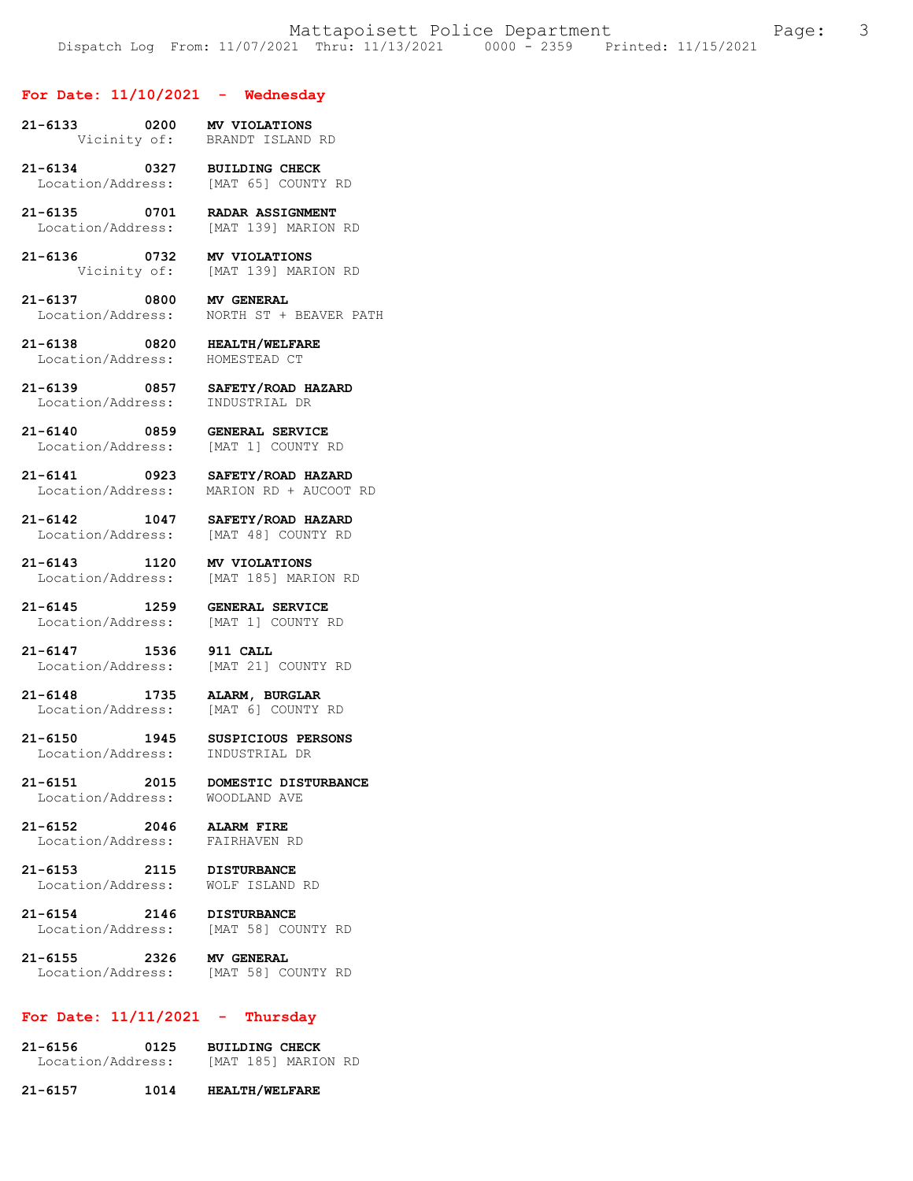#### **For Date: 11/10/2021 - Wednesday**

- **21-6133 0200 MV VIOLATIONS**  BRANDT ISLAND RD
- **21-6134 0327 BUILDING CHECK**  Location/Address: [MAT 65] COUNTY RD
- 21-6135 0701 RADAR ASSIGNMENT<br>Location/Address: [MAT 139] MARION [MAT 139] MARION RD
- **21-6136 0732 MV VIOLATIONS**  [MAT 139] MARION RD
- **21-6137 0800 MV GENERAL**  NORTH ST + BEAVER PATH
- **21-6138 0820 HEALTH/WELFARE**  Location/Address:
- **21-6139 0857 SAFETY/ROAD HAZARD**  Location/Address:
- **21-6140 0859 GENERAL SERVICE** 
	- [MAT 1] COUNTY RD
- **21-6141 0923 SAFETY/ROAD HAZARD**  MARION RD + AUCOOT RD
- **21-6142 1047 SAFETY/ROAD HAZARD**  Location/Address: [MAT 48] COUNTY RD
- **21-6143 1120 MV VIOLATIONS**  Location/Address: [MAT 185] MARION RD
- **21-6145 1259 GENERAL SERVICE**  Location/Address:
- **21-6147 1536 911 CALL**  [MAT 21] COUNTY RD
- **21-6148 1735 ALARM, BURGLAR**  Location/Address:
- Location/Address:
- **21-6150 1945 SUSPICIOUS PERSONS**
- **21-6151 2015 DOMESTIC DISTURBANCE**  Location/Address: WOODLAND AVE
- **21-6152 2046 ALARM FIRE**  Location/Address:
- **21-6153 2115 DISTURBANCE**  Location/Address:
- **21-6154 2146 DISTURBANCE**  Location/Address:
- **21-6155 2326 MV GENERAL**  Location/Address: [MAT 58] COUNTY RD

## **For Date: 11/11/2021 - Thursday**

- **21-6156 0125 BUILDING CHECK**  Location/Address: [MAT 185] MARION RD
- **21-6157 1014 HEALTH/WELFARE**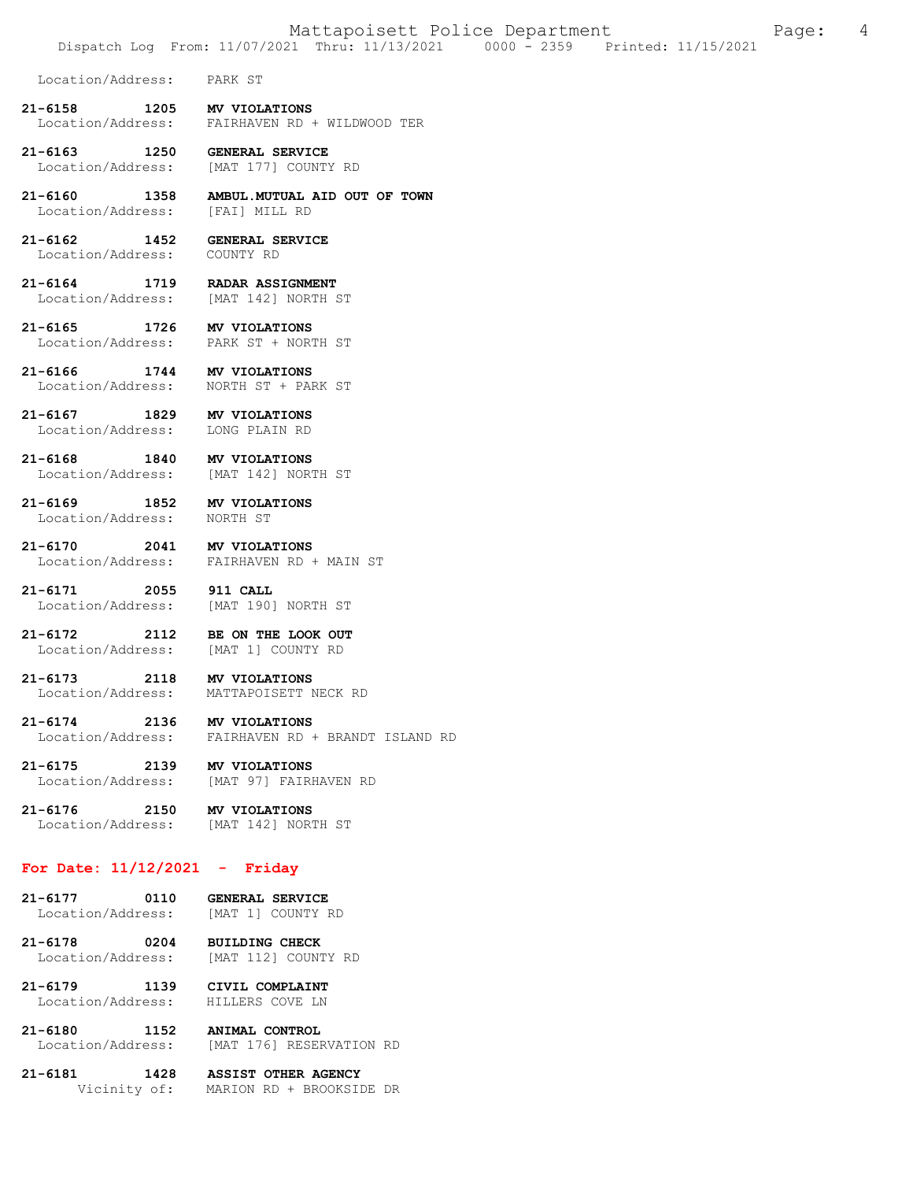Location/Address: PARK ST

**21-6158 1205 MV VIOLATIONS**  Location/Address: FAIRHAVEN RD + WILDWOOD TER

**21-6163 1250 GENERAL SERVICE**  Location/Address: [MAT 177] COUNTY RD

**21-6160 1358 AMBUL.MUTUAL AID OUT OF TOWN**  Location/Address:

**21-6162 1452 GENERAL SERVICE**  Location/Address: COUNTY RD

**21-6164 1719 RADAR ASSIGNMENT**  Location/Address: [MAT 142] NORTH ST

**21-6165 1726 MV VIOLATIONS**  Location/Address: PARK ST + NORTH ST

**21-6166 1744 MV VIOLATIONS**  Location/Address: NORTH ST + PARK ST

**21-6167 1829 MV VIOLATIONS**  Location/Address:

**21-6168 1840 MV VIOLATIONS**  Location/Address: [MAT 142] NORTH ST

**21-6169 1852 MV VIOLATIONS**  Location/Address:

**21-6170 2041 MV VIOLATIONS** 

Location/Address: FAIRHAVEN RD + MAIN ST

**21-6171 2055 911 CALL**  Location/Address: [MAT 190] NORTH ST

**21-6172 2112 BE ON THE LOOK OUT**  Location/Address:

**21-6173 2118 MV VIOLATIONS**  Location/Address: MATTAPOISETT NECK RD

**21-6174 2136 MV VIOLATIONS**  FAIRHAVEN RD + BRANDT ISLAND RD

**21-6175 2139 MV VIOLATIONS**  Location/Address: [MAT 97] FAIRHAVEN RD

**21-6176 2150 MV VIOLATIONS**  [MAT 142] NORTH ST

## **For Date: 11/12/2021 - Friday**

**21-6177 0110 GENERAL SERVICE**  Location/Address: [MAT 1] COUNTY RD

**21-6178 0204 BUILDING CHECK**  [MAT 112] COUNTY RD

**21-6179 1139 CIVIL COMPLAINT**  Location/Address:

**21-6180 1152 ANIMAL CONTROL**  [MAT 176] RESERVATION RD

**21-6181 1428 ASSIST OTHER AGENCY**  Vicinity of: MARION RD + BROOKSIDE DR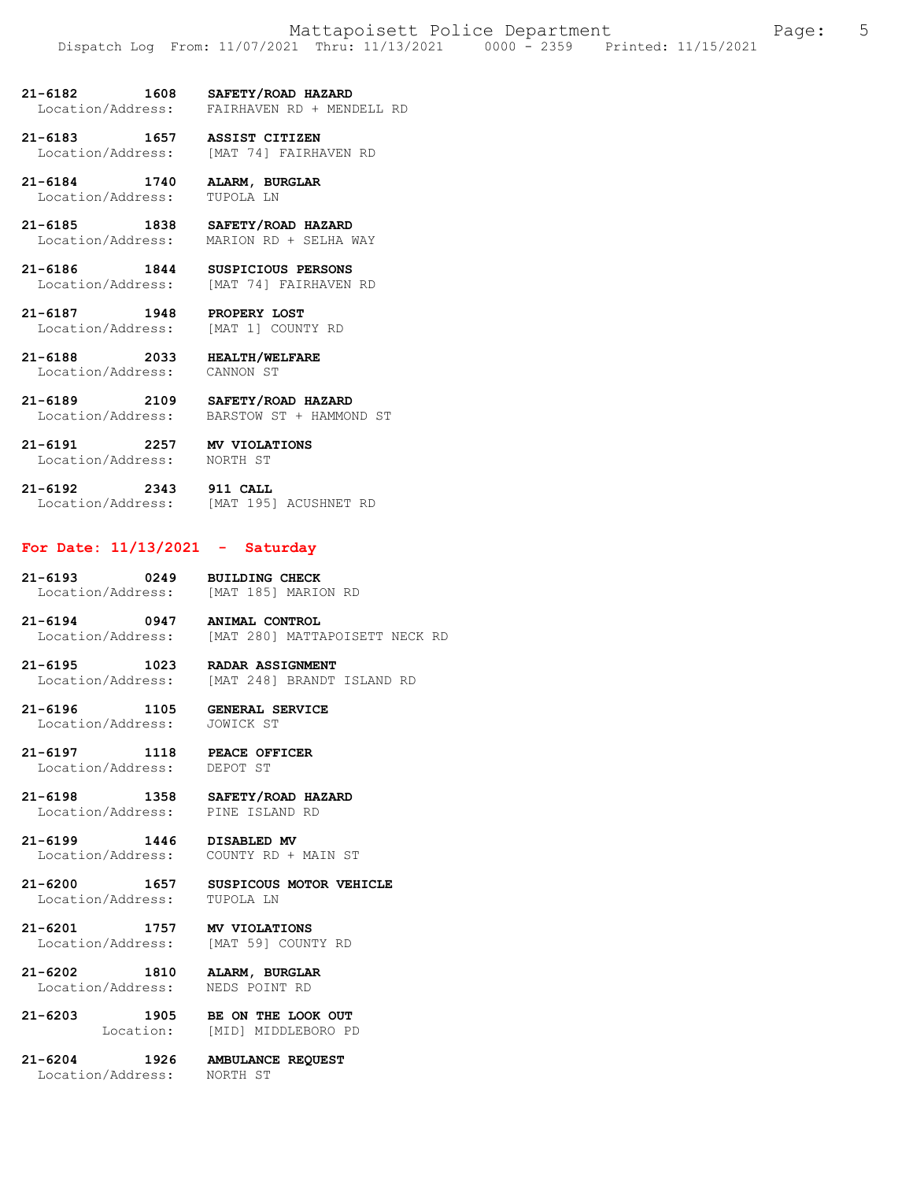**21-6182 1608 SAFETY/ROAD HAZARD**  FAIRHAVEN RD + MENDELL RD

**21-6183 1657 ASSIST CITIZEN**  Location/Address: [MAT 74] FAIRHAVEN RD

**21-6184 1740 ALARM, BURGLAR**  Location/Address: TUPOLA LN

**21-6185 1838 SAFETY/ROAD HAZARD**  Location/Address: MARION RD + SELHA WAY

**21-6186 1844 SUSPICIOUS PERSONS**  Location/Address: [MAT 74] FAIRHAVEN RD

**21-6187 1948 PROPERY LOST**  Location/Address:

**21-6188 2033 HEALTH/WELFARE**  Location/Address:

**21-6189 2109 SAFETY/ROAD HAZARD**  Location/Address: BARSTOW ST + HAMMOND ST

**21-6191 2257 MV VIOLATIONS**  Location/Address: NORTH ST

**21-6192 2343 911 CALL**  Location/Address: [MAT 195] ACUSHNET RD

## **For Date: 11/13/2021 - Saturday**

**21-6193 0249 BUILDING CHECK**  Location/Address: [MAT 185] MARION RD

**21-6194 0947 ANIMAL CONTROL**  Location/Address: [MAT 280] MATTAPOISETT NECK RD

**21-6195 1023 RADAR ASSIGNMENT**  Location/Address: [MAT 248] BRANDT ISLAND RD

**21-6196 1105 GENERAL SERVICE**  Location/Address:

**21-6197 1118 PEACE OFFICER**  Location/Address:

**21-6198 1358 SAFETY/ROAD HAZARD**  Location/Address:

**21-6199 1446 DISABLED MV**  Location/Address: COUNTY RD + MAIN ST

**21-6200 1657 SUSPICOUS MOTOR VEHICLE**  Location/Address: TUPOLA LN

**21-6201 1757 MV VIOLATIONS**  Location/Address:

**21-6202 1810 ALARM, BURGLAR**  Location/Address: NEDS POINT RD

**21-6203 1905 BE ON THE LOOK OUT**  Location: [MID] MIDDLEBORO PD

**21-6204 1926 AMBULANCE REQUEST**  Location/Address: NORTH ST